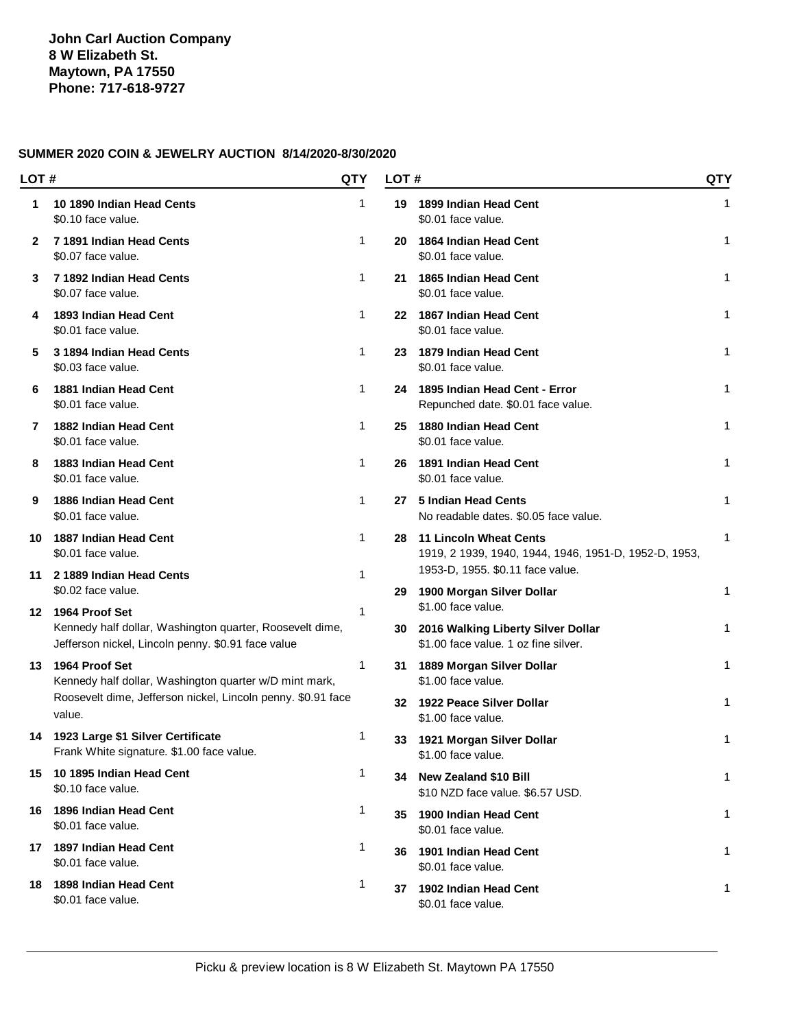| LOT # |                                                                                                                | QTY          | LOT# |                                                                                                                            | QTY         |
|-------|----------------------------------------------------------------------------------------------------------------|--------------|------|----------------------------------------------------------------------------------------------------------------------------|-------------|
| 1     | 10 1890 Indian Head Cents<br>\$0.10 face value.                                                                | 1            | 19   | 1899 Indian Head Cent<br>\$0.01 face value.                                                                                | 1           |
| 2     | 7 1891 Indian Head Cents<br>\$0.07 face value.                                                                 | 1            | 20   | 1864 Indian Head Cent<br>\$0.01 face value.                                                                                | 1           |
| 3     | 7 1892 Indian Head Cents<br>\$0.07 face value.                                                                 | $\mathbf{1}$ | 21   | 1865 Indian Head Cent<br>\$0.01 face value.                                                                                | 1           |
| 4     | 1893 Indian Head Cent<br>\$0.01 face value.                                                                    | $\mathbf{1}$ |      | 22 1867 Indian Head Cent<br>\$0.01 face value.                                                                             | $\mathbf 1$ |
| 5     | 3 1894 Indian Head Cents<br>\$0.03 face value.                                                                 | $\mathbf{1}$ | 23   | 1879 Indian Head Cent<br>\$0.01 face value.                                                                                | 1           |
| 6     | 1881 Indian Head Cent<br>\$0.01 face value.                                                                    | $\mathbf{1}$ | 24   | 1895 Indian Head Cent - Error<br>Repunched date. \$0.01 face value.                                                        | 1           |
| 7     | 1882 Indian Head Cent<br>\$0.01 face value.                                                                    | $\mathbf{1}$ | 25   | 1880 Indian Head Cent<br>\$0.01 face value.                                                                                | 1           |
| 8     | 1883 Indian Head Cent<br>\$0.01 face value.                                                                    | $\mathbf{1}$ | 26   | 1891 Indian Head Cent<br>\$0.01 face value.                                                                                | 1           |
| 9     | 1886 Indian Head Cent<br>\$0.01 face value.                                                                    | $\mathbf{1}$ | 27   | 5 Indian Head Cents<br>No readable dates. \$0.05 face value.                                                               | 1           |
| 10    | 1887 Indian Head Cent<br>\$0.01 face value.                                                                    | $\mathbf{1}$ | 28   | <b>11 Lincoln Wheat Cents</b><br>1919, 2 1939, 1940, 1944, 1946, 1951-D, 1952-D, 1953,<br>1953-D, 1955. \$0.11 face value. | 1           |
|       | 11 2 1889 Indian Head Cents<br>\$0.02 face value.                                                              | $\mathbf 1$  | 29   | 1900 Morgan Silver Dollar                                                                                                  | 1           |
|       | 12 1964 Proof Set                                                                                              | $\mathbf 1$  |      | \$1.00 face value.                                                                                                         |             |
|       | Kennedy half dollar, Washington quarter, Roosevelt dime,<br>Jefferson nickel, Lincoln penny. \$0.91 face value |              | 30   | 2016 Walking Liberty Silver Dollar<br>\$1.00 face value. 1 oz fine silver.                                                 | 1           |
|       | 13 1964 Proof Set<br>Kennedy half dollar, Washington quarter w/D mint mark,                                    | 1            | 31.  | 1889 Morgan Silver Dollar<br>\$1.00 face value.                                                                            | 1           |
|       | Roosevelt dime, Jefferson nickel, Lincoln penny. \$0.91 face<br>value.                                         |              | 32   | 1922 Peace Silver Dollar<br>\$1.00 face value.                                                                             | 1           |
|       | 14 1923 Large \$1 Silver Certificate<br>Frank White signature. \$1.00 face value.                              | 1            | 33   | 1921 Morgan Silver Dollar<br>\$1.00 face value.                                                                            | 1           |
|       | 15 10 1895 Indian Head Cent<br>\$0.10 face value.                                                              | $\mathbf{1}$ | 34   | <b>New Zealand \$10 Bill</b><br>\$10 NZD face value. \$6.57 USD.                                                           | 1           |
|       | 16 1896 Indian Head Cent<br>\$0.01 face value.                                                                 | 1            |      | 35 1900 Indian Head Cent<br>\$0.01 face value.                                                                             | 1           |
|       | 17 1897 Indian Head Cent<br>\$0.01 face value.                                                                 | $\mathbf{1}$ |      | 36 1901 Indian Head Cent<br>\$0.01 face value.                                                                             | 1           |
|       | 18 1898 Indian Head Cent<br>\$0.01 face value.                                                                 | $\mathbf{1}$ | 37   | 1902 Indian Head Cent<br>\$0.01 face value.                                                                                | 1           |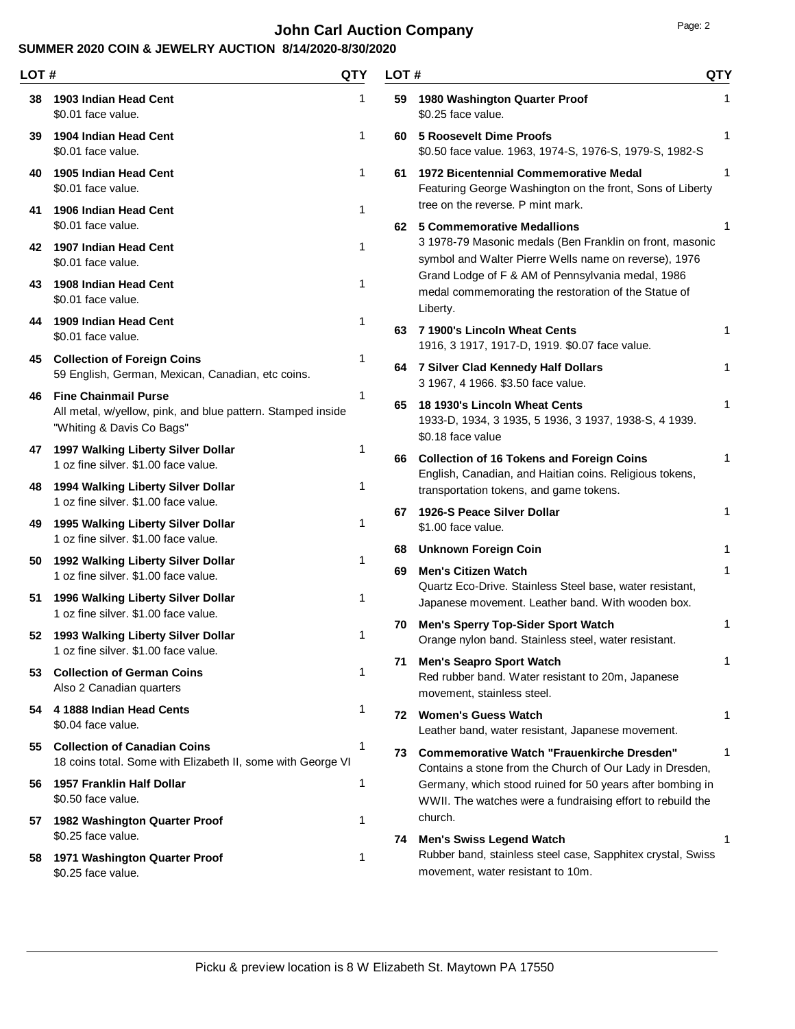# **John Carl Auction Company Page: 2 Page: 2**

### **SUMMER 2020 COIN & JEWELRY AUCTION 8/14/2020-8/30/2020**

| LOT# |                                                                                                                         | QTY | LOT# |                                                                                                                                                | <b>QTY</b> |
|------|-------------------------------------------------------------------------------------------------------------------------|-----|------|------------------------------------------------------------------------------------------------------------------------------------------------|------------|
| 38   | 1903 Indian Head Cent<br>\$0.01 face value.                                                                             | 1   | 59.  | 1980 Washington Quarter Proof<br>\$0.25 face value.                                                                                            | 1          |
| 39   | 1904 Indian Head Cent<br>\$0.01 face value.                                                                             | 1   | 60   | <b>5 Roosevelt Dime Proofs</b><br>\$0.50 face value. 1963, 1974-S, 1976-S, 1979-S, 1982-S                                                      | 1          |
| 40   | 1905 Indian Head Cent<br>\$0.01 face value.                                                                             | 1   | 61   | <b>1972 Bicentennial Commemorative Medal</b><br>Featuring George Washington on the front, Sons of Liberty<br>tree on the reverse. P mint mark. | 1          |
| 41   | 1906 Indian Head Cent<br>\$0.01 face value.                                                                             | 1   |      | 62 5 Commemorative Medallions                                                                                                                  |            |
| 42   | 1907 Indian Head Cent<br>\$0.01 face value.                                                                             | 1   |      | 3 1978-79 Masonic medals (Ben Franklin on front, masonic<br>symbol and Walter Pierre Wells name on reverse), 1976                              |            |
| 43   | 1908 Indian Head Cent<br>\$0.01 face value.                                                                             | 1   |      | Grand Lodge of F & AM of Pennsylvania medal, 1986<br>medal commemorating the restoration of the Statue of<br>Liberty.                          |            |
| 44   | 1909 Indian Head Cent<br>\$0.01 face value.                                                                             | 1   |      | 63 7 1900's Lincoln Wheat Cents<br>1916, 3 1917, 1917-D, 1919. \$0.07 face value.                                                              | 1          |
|      | 45 Collection of Foreign Coins<br>59 English, German, Mexican, Canadian, etc coins.                                     | 1   |      | 64 7 Silver Clad Kennedy Half Dollars<br>3 1967, 4 1966. \$3.50 face value.                                                                    | 1          |
| 46   | <b>Fine Chainmail Purse</b><br>All metal, w/yellow, pink, and blue pattern. Stamped inside<br>"Whiting & Davis Co Bags" | 1   | 65   | 18 1930's Lincoln Wheat Cents<br>1933-D, 1934, 3 1935, 5 1936, 3 1937, 1938-S, 4 1939.<br>\$0.18 face value                                    | 1          |
| 47   | 1997 Walking Liberty Silver Dollar<br>1 oz fine silver. \$1.00 face value.                                              | 1   | 66.  | <b>Collection of 16 Tokens and Foreign Coins</b><br>English, Canadian, and Haitian coins. Religious tokens,                                    | 1          |
| 48   | 1994 Walking Liberty Silver Dollar<br>1 oz fine silver. \$1.00 face value.                                              | 1   |      | transportation tokens, and game tokens.                                                                                                        |            |
| 49   | 1995 Walking Liberty Silver Dollar<br>1 oz fine silver. \$1.00 face value.                                              | 1   | 67   | 1926-S Peace Silver Dollar<br>\$1.00 face value.                                                                                               | 1          |
| 50   | 1992 Walking Liberty Silver Dollar                                                                                      | 1   | 68   | <b>Unknown Foreign Coin</b>                                                                                                                    | 1          |
|      | 1 oz fine silver. \$1.00 face value.                                                                                    |     | 69   | <b>Men's Citizen Watch</b><br>Quartz Eco-Drive. Stainless Steel base, water resistant,                                                         | 1          |
| 51   | 1996 Walking Liberty Silver Dollar<br>1 oz fine silver. \$1.00 face value.                                              | 1   |      | Japanese movement. Leather band. With wooden box.                                                                                              |            |
| 52   | 1993 Walking Liberty Silver Dollar<br>1 oz fine silver. \$1.00 face value.                                              | 1   | 70   | <b>Men's Sperry Top-Sider Sport Watch</b><br>Orange nylon band. Stainless steel, water resistant.                                              | 1          |
| 53   | <b>Collection of German Coins</b><br>Also 2 Canadian quarters                                                           | 1   | 71   | <b>Men's Seapro Sport Watch</b><br>Red rubber band. Water resistant to 20m, Japanese<br>movement, stainless steel.                             | 1          |
| 54   | 4 1888 Indian Head Cents<br>\$0.04 face value.                                                                          | 1   | 72   | <b>Women's Guess Watch</b><br>Leather band, water resistant, Japanese movement.                                                                | 1          |
| 55   | <b>Collection of Canadian Coins</b><br>18 coins total. Some with Elizabeth II, some with George VI                      | 1   | 73.  | <b>Commemorative Watch "Frauenkirche Dresden"</b><br>Contains a stone from the Church of Our Lady in Dresden,                                  | 1          |
| 56   | 1957 Franklin Half Dollar<br>\$0.50 face value.                                                                         | 1   |      | Germany, which stood ruined for 50 years after bombing in<br>WWII. The watches were a fundraising effort to rebuild the                        |            |
|      | 57 1982 Washington Quarter Proof                                                                                        | 1   |      | church.                                                                                                                                        |            |
| 58   | \$0.25 face value.<br>1971 Washington Quarter Proof<br>\$0.25 face value.                                               | 1   |      | 74 Men's Swiss Legend Watch<br>Rubber band, stainless steel case, Sapphitex crystal, Swiss<br>movement, water resistant to 10m.                | 1          |

Picku & preview location is 8 W Elizabeth St. Maytown PA 17550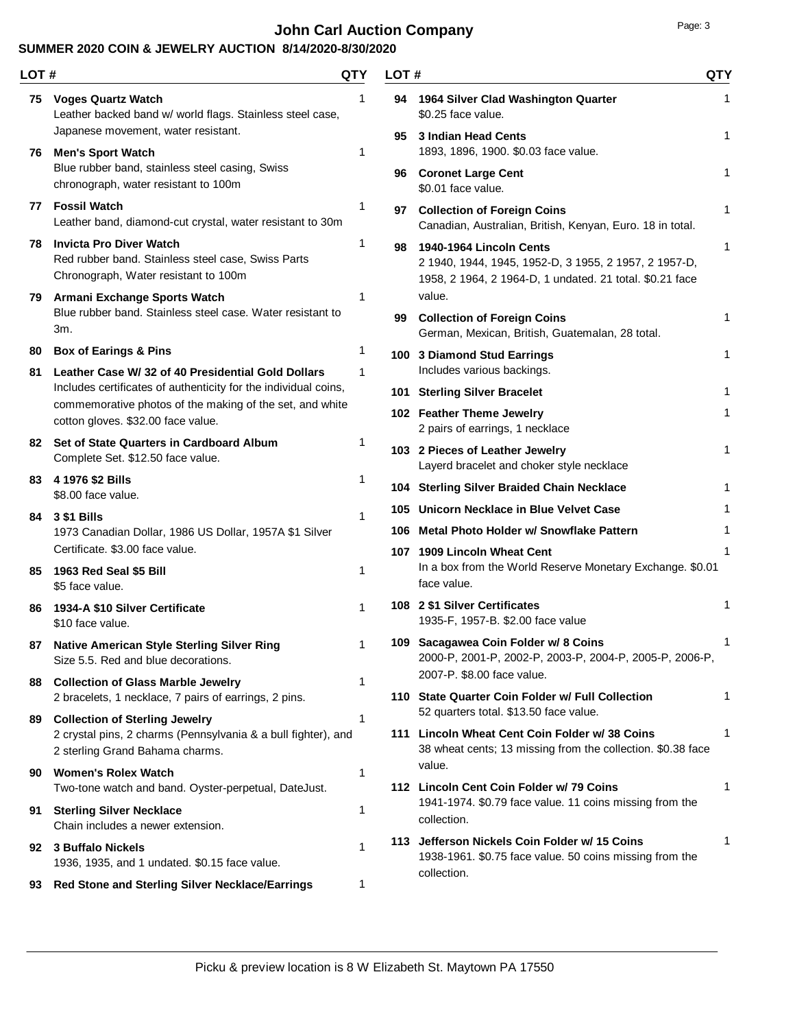# **John Carl Auction Company Page: 3**

| LOT#     |                                                                                                                                           | QTY    | LOT# |                                                                                                                                              | <b>QTY</b> |
|----------|-------------------------------------------------------------------------------------------------------------------------------------------|--------|------|----------------------------------------------------------------------------------------------------------------------------------------------|------------|
|          | 75 Voges Quartz Watch<br>Leather backed band w/ world flags. Stainless steel case,                                                        | 1      |      | 94 1964 Silver Clad Washington Quarter<br>\$0.25 face value.                                                                                 | 1          |
|          | Japanese movement, water resistant.<br>76 Men's Sport Watch                                                                               | 1      | 95   | 3 Indian Head Cents<br>1893, 1896, 1900. \$0.03 face value.                                                                                  | 1          |
|          | Blue rubber band, stainless steel casing, Swiss<br>chronograph, water resistant to 100m                                                   |        |      | 96 Coronet Large Cent<br>\$0.01 face value.                                                                                                  | 1          |
|          | 77 Fossil Watch<br>Leather band, diamond-cut crystal, water resistant to 30m                                                              | 1      | 97   | <b>Collection of Foreign Coins</b><br>Canadian, Australian, British, Kenyan, Euro. 18 in total.                                              | 1          |
|          | 78 Invicta Pro Diver Watch<br>Red rubber band. Stainless steel case, Swiss Parts<br>Chronograph, Water resistant to 100m                  | 1      | 98   | 1940-1964 Lincoln Cents<br>2 1940, 1944, 1945, 1952-D, 3 1955, 2 1957, 2 1957-D,<br>1958, 2 1964, 2 1964-D, 1 undated. 21 total. \$0.21 face | 1          |
|          | 79 Armani Exchange Sports Watch                                                                                                           | 1      |      | value.                                                                                                                                       |            |
|          | Blue rubber band. Stainless steel case. Water resistant to<br>3m.                                                                         |        | 99   | <b>Collection of Foreign Coins</b><br>German, Mexican, British, Guatemalan, 28 total.                                                        | 1          |
| 80<br>81 | <b>Box of Earings &amp; Pins</b><br>Leather Case W/ 32 of 40 Presidential Gold Dollars                                                    | 1<br>1 |      | 100 3 Diamond Stud Earrings<br>Includes various backings.                                                                                    | 1          |
|          | Includes certificates of authenticity for the individual coins,                                                                           |        |      | 101 Sterling Silver Bracelet                                                                                                                 | 1          |
|          | commemorative photos of the making of the set, and white<br>cotton gloves. \$32.00 face value.                                            |        |      | 102 Feather Theme Jewelry<br>2 pairs of earrings, 1 necklace                                                                                 | 1          |
|          | 82 Set of State Quarters in Cardboard Album<br>Complete Set. \$12.50 face value.                                                          | 1      |      | 103 2 Pieces of Leather Jewelry<br>Layerd bracelet and choker style necklace                                                                 | 1          |
| 83.      | 4 1976 \$2 Bills                                                                                                                          | 1      |      | 104 Sterling Silver Braided Chain Necklace                                                                                                   | 1          |
|          | \$8.00 face value.                                                                                                                        | 1      |      | 105 Unicorn Necklace in Blue Velvet Case                                                                                                     | 1          |
|          | 84 3 \$1 Bills<br>1973 Canadian Dollar, 1986 US Dollar, 1957A \$1 Silver                                                                  |        |      | 106 Metal Photo Holder w/ Snowflake Pattern                                                                                                  | 1          |
|          | Certificate. \$3.00 face value.                                                                                                           |        |      | 107 1909 Lincoln Wheat Cent                                                                                                                  | 1          |
|          | 85 1963 Red Seal \$5 Bill<br>\$5 face value.                                                                                              | 1      |      | In a box from the World Reserve Monetary Exchange. \$0.01<br>face value.                                                                     |            |
| 86.      | 1934-A \$10 Silver Certificate<br>\$10 face value.                                                                                        | 1      |      | 108 2 \$1 Silver Certificates<br>1935-F, 1957-B. \$2.00 face value                                                                           | 1          |
| 87       | Native American Style Sterling Silver Ring<br>Size 5.5. Red and blue decorations.                                                         |        |      | 109 Sacagawea Coin Folder w/ 8 Coins<br>2000-P, 2001-P, 2002-P, 2003-P, 2004-P, 2005-P, 2006-P,                                              | 1          |
| 88       | <b>Collection of Glass Marble Jewelry</b>                                                                                                 | 1      |      | 2007-P. \$8.00 face value.<br>110 State Quarter Coin Folder w/ Full Collection                                                               | 1          |
|          | 2 bracelets, 1 necklace, 7 pairs of earrings, 2 pins.                                                                                     | 1      |      | 52 quarters total. \$13.50 face value.                                                                                                       |            |
| 89       | <b>Collection of Sterling Jewelry</b><br>2 crystal pins, 2 charms (Pennsylvania & a bull fighter), and<br>2 sterling Grand Bahama charms. |        |      | 111 Lincoln Wheat Cent Coin Folder w/ 38 Coins<br>38 wheat cents; 13 missing from the collection. \$0.38 face                                | 1          |
| 90       | <b>Women's Rolex Watch</b><br>Two-tone watch and band. Oyster-perpetual, DateJust.                                                        | 1      |      | value.<br>112 Lincoln Cent Coin Folder w/ 79 Coins                                                                                           | 1          |
|          | 91 Sterling Silver Necklace<br>Chain includes a newer extension.                                                                          | 1      |      | 1941-1974. \$0.79 face value. 11 coins missing from the<br>collection.                                                                       |            |
| 92       | 3 Buffalo Nickels<br>1936, 1935, and 1 undated. \$0.15 face value.                                                                        | 1      |      | 113 Jefferson Nickels Coin Folder w/ 15 Coins<br>1938-1961. \$0.75 face value. 50 coins missing from the                                     | 1          |
| 93       | Red Stone and Sterling Silver Necklace/Earrings                                                                                           | 1      |      | collection.                                                                                                                                  |            |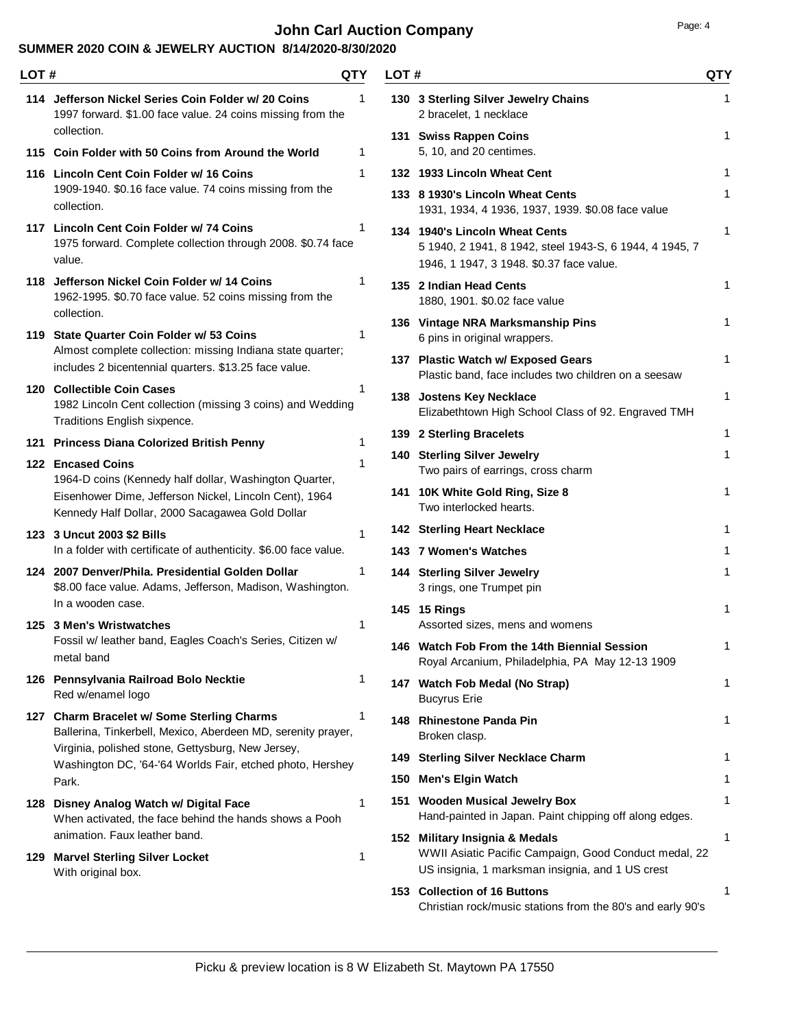# **John Carl Auction Company Page: 4 Page: 4**

| LOT # |                                                                                                                                  | <b>QTY</b> | LOT# |                                                                                                                                             | <b>QTY</b>   |
|-------|----------------------------------------------------------------------------------------------------------------------------------|------------|------|---------------------------------------------------------------------------------------------------------------------------------------------|--------------|
|       | 114 Jefferson Nickel Series Coin Folder w/ 20 Coins<br>1997 forward. \$1.00 face value. 24 coins missing from the<br>collection. | 1          |      | 130 3 Sterling Silver Jewelry Chains<br>2 bracelet, 1 necklace                                                                              | 1            |
|       | 115 Coin Folder with 50 Coins from Around the World                                                                              | 1          |      | 131 Swiss Rappen Coins<br>5, 10, and 20 centimes.                                                                                           | $\mathbf{1}$ |
|       | 116 Lincoln Cent Coin Folder w/ 16 Coins                                                                                         | 1          |      | 132 1933 Lincoln Wheat Cent                                                                                                                 | 1            |
|       | 1909-1940. \$0.16 face value. 74 coins missing from the<br>collection.                                                           |            |      | 133 8 1930's Lincoln Wheat Cents<br>1931, 1934, 4 1936, 1937, 1939. \$0.08 face value                                                       | 1            |
|       | 117 Lincoln Cent Coin Folder w/ 74 Coins<br>1975 forward. Complete collection through 2008. \$0.74 face<br>value.                | 1          |      | 134 1940's Lincoln Wheat Cents<br>5 1940, 2 1941, 8 1942, steel 1943-S, 6 1944, 4 1945, 7<br>1946, 1 1947, 3 1948. \$0.37 face value.       | 1            |
|       | 118 Jefferson Nickel Coin Folder w/ 14 Coins<br>1962-1995. \$0.70 face value. 52 coins missing from the                          | 1          |      | 135 2 Indian Head Cents<br>1880, 1901. \$0.02 face value                                                                                    | 1            |
|       | collection.<br>119 State Quarter Coin Folder w/ 53 Coins                                                                         | 1          |      | 136 Vintage NRA Marksmanship Pins<br>6 pins in original wrappers.                                                                           | 1            |
|       | Almost complete collection: missing Indiana state quarter;<br>includes 2 bicentennial quarters. \$13.25 face value.              |            |      | 137 Plastic Watch w/ Exposed Gears<br>Plastic band, face includes two children on a seesaw                                                  | 1            |
|       | 120 Collectible Coin Cases<br>1982 Lincoln Cent collection (missing 3 coins) and Wedding<br>Traditions English sixpence.         |            |      | 138 Jostens Key Necklace<br>Elizabethtown High School Class of 92. Engraved TMH                                                             | 1            |
|       | 121 Princess Diana Colorized British Penny                                                                                       | 1          |      | 139 2 Sterling Bracelets                                                                                                                    | 1            |
|       | 122 Encased Coins<br>1964-D coins (Kennedy half dollar, Washington Quarter,                                                      | 1          |      | 140 Sterling Silver Jewelry<br>Two pairs of earrings, cross charm                                                                           | 1            |
|       | Eisenhower Dime, Jefferson Nickel, Lincoln Cent), 1964<br>Kennedy Half Dollar, 2000 Sacagawea Gold Dollar                        |            |      | 141 10K White Gold Ring, Size 8<br>Two interlocked hearts.                                                                                  | 1            |
|       | 123 3 Uncut 2003 \$2 Bills                                                                                                       | 1          |      | <b>142 Sterling Heart Necklace</b>                                                                                                          | 1            |
|       | In a folder with certificate of authenticity. \$6.00 face value.                                                                 |            |      | 143 7 Women's Watches                                                                                                                       | 1            |
|       | 124 2007 Denver/Phila, Presidential Golden Dollar<br>\$8.00 face value. Adams, Jefferson, Madison, Washington.                   | 1          |      | 144 Sterling Silver Jewelry<br>3 rings, one Trumpet pin                                                                                     | 1            |
|       | In a wooden case.<br>125 3 Men's Wristwatches                                                                                    | 1          |      | 145 15 Rings<br>Assorted sizes, mens and womens                                                                                             | 1            |
|       | Fossil w/ leather band, Eagles Coach's Series, Citizen w/<br>metal band                                                          |            |      | 146 Watch Fob From the 14th Biennial Session<br>Royal Arcanium, Philadelphia, PA May 12-13 1909                                             |              |
|       | 126 Pennsylvania Railroad Bolo Necktie<br>Red w/enamel logo                                                                      | 1          |      | 147 Watch Fob Medal (No Strap)<br><b>Bucyrus Erie</b>                                                                                       | 1            |
|       | 127 Charm Bracelet w/ Some Sterling Charms<br>Ballerina, Tinkerbell, Mexico, Aberdeen MD, serenity prayer,                       | 1          |      | 148 Rhinestone Panda Pin<br>Broken clasp.                                                                                                   | 1            |
|       | Virginia, polished stone, Gettysburg, New Jersey,<br>Washington DC, '64-'64 Worlds Fair, etched photo, Hershey                   |            |      | 149 Sterling Silver Necklace Charm                                                                                                          | 1            |
|       | Park.                                                                                                                            |            | 150  | Men's Elgin Watch                                                                                                                           | 1            |
|       | 128 Disney Analog Watch w/ Digital Face<br>When activated, the face behind the hands shows a Pooh                                | 1          |      | 151 Wooden Musical Jewelry Box<br>Hand-painted in Japan. Paint chipping off along edges.                                                    | 1            |
|       | animation. Faux leather band.<br>129 Marvel Sterling Silver Locket<br>With original box.                                         | 1          |      | 152 Military Insignia & Medals<br>WWII Asiatic Pacific Campaign, Good Conduct medal, 22<br>US insignia, 1 marksman insignia, and 1 US crest | 1            |
|       |                                                                                                                                  |            |      | 153 Collection of 16 Buttons<br>Christian rock/music stations from the 80's and early 90's                                                  | 1            |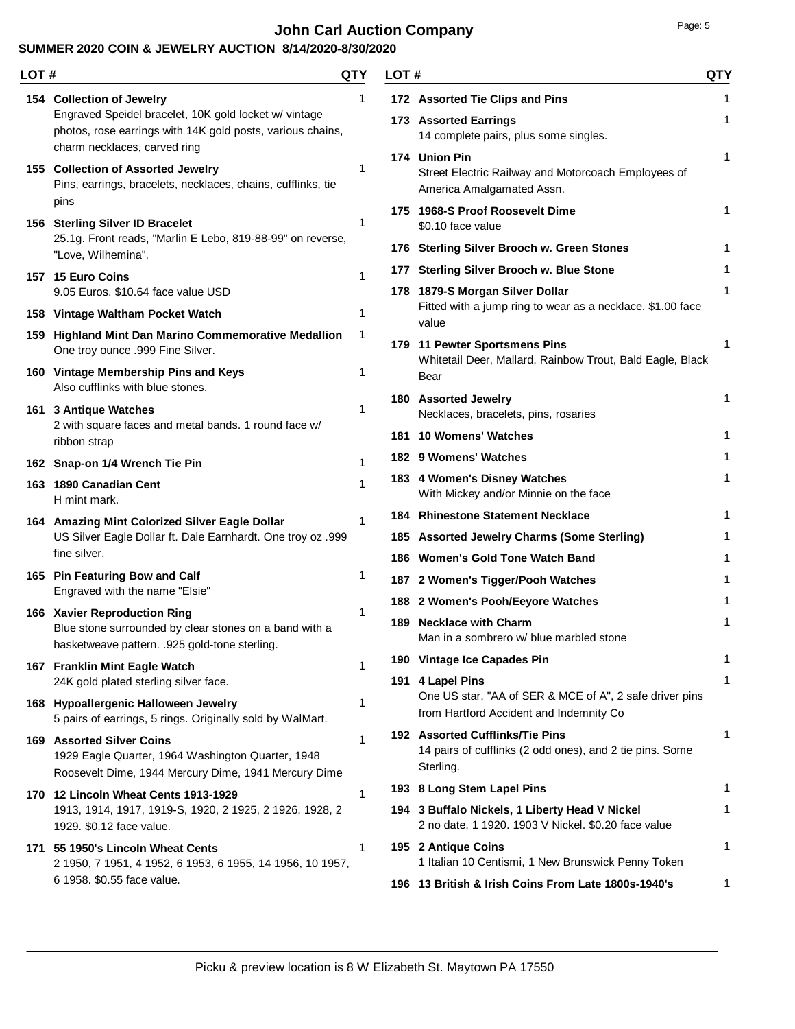# **John Carl Auction Company Page: 5 Page: 5**

| LOT # |                                                                                                                                                                                  | QTY          | LOT# |                                                                                                          | <b>QTY</b> |
|-------|----------------------------------------------------------------------------------------------------------------------------------------------------------------------------------|--------------|------|----------------------------------------------------------------------------------------------------------|------------|
|       | 154 Collection of Jewelry<br>Engraved Speidel bracelet, 10K gold locket w/ vintage<br>photos, rose earrings with 14K gold posts, various chains,<br>charm necklaces, carved ring | 1            |      | 172 Assorted Tie Clips and Pins<br>173 Assorted Earrings<br>14 complete pairs, plus some singles.        | 1<br>1     |
|       | 155 Collection of Assorted Jewelry<br>Pins, earrings, bracelets, necklaces, chains, cufflinks, tie                                                                               | 1            |      | 174 Union Pin<br>Street Electric Railway and Motorcoach Employees of<br>America Amalgamated Assn.        | 1          |
|       | pins<br>156 Sterling Silver ID Bracelet<br>25.1g. Front reads, "Marlin E Lebo, 819-88-99" on reverse,                                                                            | 1            |      | 175 1968-S Proof Roosevelt Dime<br>\$0.10 face value                                                     | 1          |
|       | "Love, Wilhemina".                                                                                                                                                               |              |      | 176 Sterling Silver Brooch w. Green Stones<br>177 Sterling Silver Brooch w. Blue Stone                   |            |
|       | 157 15 Euro Coins<br>9.05 Euros. \$10.64 face value USD                                                                                                                          | 1            |      | 178 1879-S Morgan Silver Dollar<br>Fitted with a jump ring to wear as a necklace. \$1.00 face            | 1          |
|       | 158 Vintage Waltham Pocket Watch                                                                                                                                                 | 1            |      | value                                                                                                    |            |
|       | 159 Highland Mint Dan Marino Commemorative Medallion<br>One troy ounce .999 Fine Silver.                                                                                         | 1            |      | 179 11 Pewter Sportsmens Pins<br>Whitetail Deer, Mallard, Rainbow Trout, Bald Eagle, Black               | 1          |
|       | 160 Vintage Membership Pins and Keys<br>Also cufflinks with blue stones.                                                                                                         | 1            |      | Bear<br>180 Assorted Jewelry                                                                             | 1          |
|       | 161 3 Antique Watches<br>2 with square faces and metal bands. 1 round face w/                                                                                                    | 1            |      | Necklaces, bracelets, pins, rosaries<br>181 10 Womens' Watches                                           | 1          |
|       | ribbon strap<br>162 Snap-on 1/4 Wrench Tie Pin                                                                                                                                   | $\mathbf{1}$ |      | 182 9 Womens' Watches                                                                                    | 1          |
|       | 163 1890 Canadian Cent<br>H mint mark.                                                                                                                                           | 1            |      | 183 4 Women's Disney Watches<br>With Mickey and/or Minnie on the face                                    | 1          |
|       | 164 Amazing Mint Colorized Silver Eagle Dollar                                                                                                                                   | 1            |      | 184 Rhinestone Statement Necklace                                                                        | 1          |
|       | US Silver Eagle Dollar ft. Dale Earnhardt. One troy oz .999<br>fine silver.                                                                                                      |              |      | 185 Assorted Jewelry Charms (Some Sterling)                                                              | 1          |
|       | 165 Pin Featuring Bow and Calf                                                                                                                                                   | 1            |      | 186 Women's Gold Tone Watch Band<br>187 2 Women's Tigger/Pooh Watches                                    | 1          |
|       | Engraved with the name "Elsie"                                                                                                                                                   |              |      | 188 2 Women's Pooh/Eeyore Watches                                                                        | 1          |
|       | 166 Xavier Reproduction Ring<br>Blue stone surrounded by clear stones on a band with a<br>basketweave pattern. .925 gold-tone sterling.                                          | 1            |      | 189 Necklace with Charm<br>Man in a sombrero w/ blue marbled stone                                       | 1          |
|       | 167 Franklin Mint Eagle Watch                                                                                                                                                    | 1            |      | 190 Vintage Ice Capades Pin                                                                              | 1          |
|       | 24K gold plated sterling silver face.<br>168 Hypoallergenic Halloween Jewelry                                                                                                    | 1            |      | 191 4 Lapel Pins<br>One US star, "AA of SER & MCE of A", 2 safe driver pins                              | 1          |
|       | 5 pairs of earrings, 5 rings. Originally sold by WalMart.                                                                                                                        |              |      | from Hartford Accident and Indemnity Co                                                                  |            |
|       | <b>169 Assorted Silver Coins</b><br>1929 Eagle Quarter, 1964 Washington Quarter, 1948<br>Roosevelt Dime, 1944 Mercury Dime, 1941 Mercury Dime                                    | 1            |      | 192 Assorted Cufflinks/Tie Pins<br>14 pairs of cufflinks (2 odd ones), and 2 tie pins. Some<br>Sterling. | 1          |
|       | 170 12 Lincoln Wheat Cents 1913-1929                                                                                                                                             | 1            |      | 193 8 Long Stem Lapel Pins                                                                               | 1          |
|       | 1913, 1914, 1917, 1919-S, 1920, 2 1925, 2 1926, 1928, 2<br>1929. \$0.12 face value.                                                                                              |              |      | 194 3 Buffalo Nickels, 1 Liberty Head V Nickel<br>2 no date, 1 1920. 1903 V Nickel. \$0.20 face value    | 1          |
|       | 171 55 1950's Lincoln Wheat Cents<br>2 1950, 7 1951, 4 1952, 6 1953, 6 1955, 14 1956, 10 1957,                                                                                   | 1            |      | 195 2 Antique Coins<br>1 Italian 10 Centismi, 1 New Brunswick Penny Token                                | 1          |
|       | 6 1958. \$0.55 face value.                                                                                                                                                       |              |      | 196 13 British & Irish Coins From Late 1800s-1940's                                                      | 1          |
|       |                                                                                                                                                                                  |              |      |                                                                                                          |            |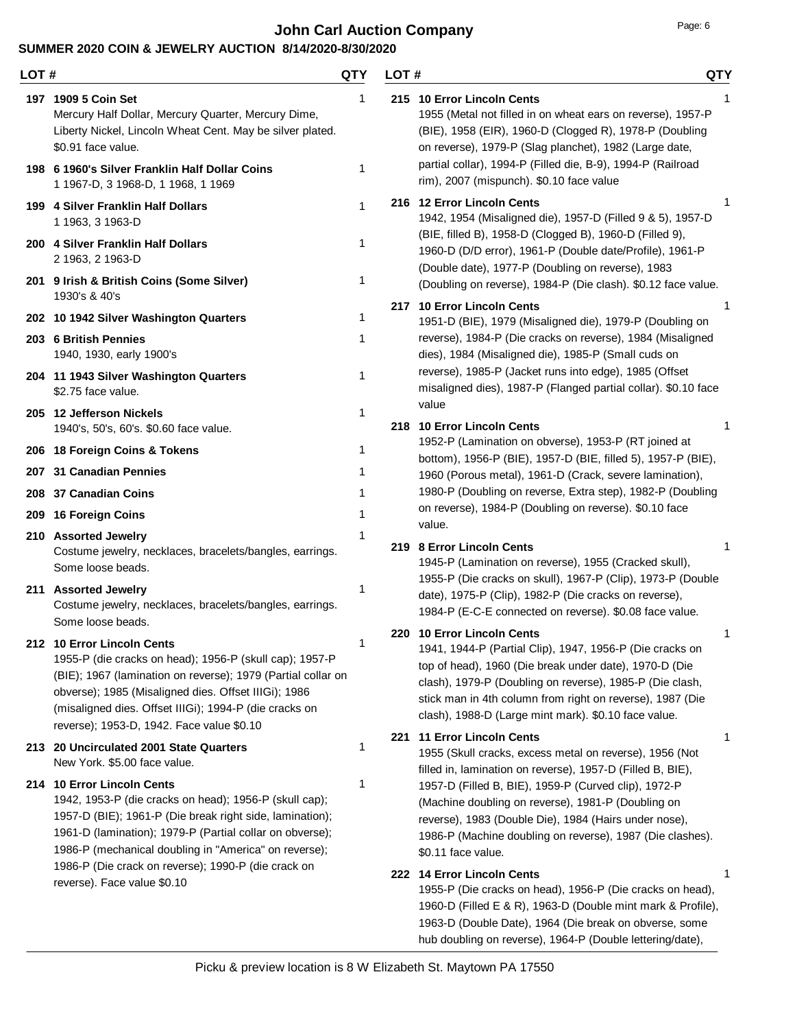## **John Carl Auction Company Page: 6 Page: 6**

### **SUMMER 2020 COIN & JEWELRY AUCTION 8/14/2020-8/30/2020**

| LOT# |                                                                                                                                                                                                                                                                                                                      | QTY    | LOT # |                                                                                                                                                                                                                                                                                                                                   | <b>QTY</b> |
|------|----------------------------------------------------------------------------------------------------------------------------------------------------------------------------------------------------------------------------------------------------------------------------------------------------------------------|--------|-------|-----------------------------------------------------------------------------------------------------------------------------------------------------------------------------------------------------------------------------------------------------------------------------------------------------------------------------------|------------|
|      | 197 1909 5 Coin Set<br>Mercury Half Dollar, Mercury Quarter, Mercury Dime,<br>Liberty Nickel, Lincoln Wheat Cent. May be silver plated.<br>\$0.91 face value.<br>198 6 1960's Silver Franklin Half Dollar Coins                                                                                                      | 1<br>1 |       | 215 10 Error Lincoln Cents<br>1955 (Metal not filled in on wheat ears on reverse), 1957-P<br>(BIE), 1958 (EIR), 1960-D (Clogged R), 1978-P (Doubling<br>on reverse), 1979-P (Slag planchet), 1982 (Large date,<br>partial collar), 1994-P (Filled die, B-9), 1994-P (Railroad                                                     |            |
|      | 1 1967-D, 3 1968-D, 1 1968, 1 1969<br>199 4 Silver Franklin Half Dollars                                                                                                                                                                                                                                             | 1      |       | rim), 2007 (mispunch). \$0.10 face value<br>216 12 Error Lincoln Cents                                                                                                                                                                                                                                                            |            |
|      | 1 1963, 3 1963-D<br>200 4 Silver Franklin Half Dollars<br>2 1963, 2 1963-D                                                                                                                                                                                                                                           |        |       | 1942, 1954 (Misaligned die), 1957-D (Filled 9 & 5), 1957-D<br>(BIE, filled B), 1958-D (Clogged B), 1960-D (Filled 9),<br>1960-D (D/D error), 1961-P (Double date/Profile), 1961-P                                                                                                                                                 |            |
|      | 201 9 Irish & British Coins (Some Silver)<br>1930's & 40's                                                                                                                                                                                                                                                           | 1      |       | (Double date), 1977-P (Doubling on reverse), 1983<br>(Doubling on reverse), 1984-P (Die clash). \$0.12 face value.                                                                                                                                                                                                                |            |
|      | 202 10 1942 Silver Washington Quarters                                                                                                                                                                                                                                                                               | 1      |       | 217 10 Error Lincoln Cents<br>1951-D (BIE), 1979 (Misaligned die), 1979-P (Doubling on                                                                                                                                                                                                                                            |            |
|      | 203 6 British Pennies<br>1940, 1930, early 1900's                                                                                                                                                                                                                                                                    | 1      |       | reverse), 1984-P (Die cracks on reverse), 1984 (Misaligned<br>dies), 1984 (Misaligned die), 1985-P (Small cuds on                                                                                                                                                                                                                 |            |
|      | 204 11 1943 Silver Washington Quarters<br>\$2.75 face value.                                                                                                                                                                                                                                                         | 1      |       | reverse), 1985-P (Jacket runs into edge), 1985 (Offset<br>misaligned dies), 1987-P (Flanged partial collar). \$0.10 face                                                                                                                                                                                                          |            |
|      | 205 12 Jefferson Nickels<br>1940's, 50's, 60's. \$0.60 face value.                                                                                                                                                                                                                                                   | 1      |       | value<br>218 10 Error Lincoln Cents                                                                                                                                                                                                                                                                                               |            |
|      | 206 18 Foreign Coins & Tokens                                                                                                                                                                                                                                                                                        | 1      |       | 1952-P (Lamination on obverse), 1953-P (RT joined at<br>bottom), 1956-P (BIE), 1957-D (BIE, filled 5), 1957-P (BIE),                                                                                                                                                                                                              |            |
| 207  | 31 Canadian Pennies                                                                                                                                                                                                                                                                                                  |        |       | 1960 (Porous metal), 1961-D (Crack, severe lamination),                                                                                                                                                                                                                                                                           |            |
|      | 208 37 Canadian Coins                                                                                                                                                                                                                                                                                                |        |       | 1980-P (Doubling on reverse, Extra step), 1982-P (Doubling                                                                                                                                                                                                                                                                        |            |
|      | 209 16 Foreign Coins                                                                                                                                                                                                                                                                                                 | 1      |       | on reverse), 1984-P (Doubling on reverse). \$0.10 face<br>value.                                                                                                                                                                                                                                                                  |            |
|      | 210 Assorted Jewelry<br>Costume jewelry, necklaces, bracelets/bangles, earrings.<br>Some loose beads.                                                                                                                                                                                                                |        |       | 219 8 Error Lincoln Cents<br>1945-P (Lamination on reverse), 1955 (Cracked skull),                                                                                                                                                                                                                                                |            |
|      | 211 Assorted Jewelry<br>Costume jewelry, necklaces, bracelets/bangles, earrings.<br>Some loose beads.                                                                                                                                                                                                                | 1      |       | 1955-P (Die cracks on skull), 1967-P (Clip), 1973-P (Double<br>date), 1975-P (Clip), 1982-P (Die cracks on reverse),<br>1984-P (E-C-E connected on reverse). \$0.08 face value.                                                                                                                                                   |            |
|      | 212 10 Error Lincoln Cents<br>1955-P (die cracks on head); 1956-P (skull cap); 1957-P<br>(BIE); 1967 (lamination on reverse); 1979 (Partial collar on<br>obverse); 1985 (Misaligned dies. Offset IIIGi); 1986<br>(misaligned dies. Offset IIIGi); 1994-P (die cracks on<br>reverse); 1953-D, 1942. Face value \$0.10 | 1      |       | 220 10 Error Lincoln Cents<br>1941, 1944-P (Partial Clip), 1947, 1956-P (Die cracks on<br>top of head), 1960 (Die break under date), 1970-D (Die<br>clash), 1979-P (Doubling on reverse), 1985-P (Die clash,<br>stick man in 4th column from right on reverse), 1987 (Die<br>clash), 1988-D (Large mint mark). \$0.10 face value. |            |
|      | 213 20 Uncirculated 2001 State Quarters<br>New York. \$5.00 face value.                                                                                                                                                                                                                                              | 1      |       | 221 11 Error Lincoln Cents<br>1955 (Skull cracks, excess metal on reverse), 1956 (Not<br>filled in, lamination on reverse), 1957-D (Filled B, BIE),                                                                                                                                                                               | 1          |
|      | 214 10 Error Lincoln Cents<br>1942, 1953-P (die cracks on head); 1956-P (skull cap);<br>1957-D (BIE); 1961-P (Die break right side, lamination);<br>1961-D (lamination); 1979-P (Partial collar on obverse);<br>1986-P (mechanical doubling in "America" on reverse);                                                | 1      |       | 1957-D (Filled B, BIE), 1959-P (Curved clip), 1972-P<br>(Machine doubling on reverse), 1981-P (Doubling on<br>reverse), 1983 (Double Die), 1984 (Hairs under nose),<br>1986-P (Machine doubling on reverse), 1987 (Die clashes).<br>\$0.11 face value.                                                                            |            |
|      | 1986-P (Die crack on reverse); 1990-P (die crack on<br>reverse). Face value \$0.10                                                                                                                                                                                                                                   |        |       | 222 14 Error Lincoln Cents<br>1955-P (Die cracks on head), 1956-P (Die cracks on head),<br>1960-D (Filled E & R), 1963-D (Double mint mark & Profile),<br>1963-D (Double Date), 1964 (Die break on obverse, some                                                                                                                  | 1          |

hub doubling on reverse), 1964-P (Double lettering/date),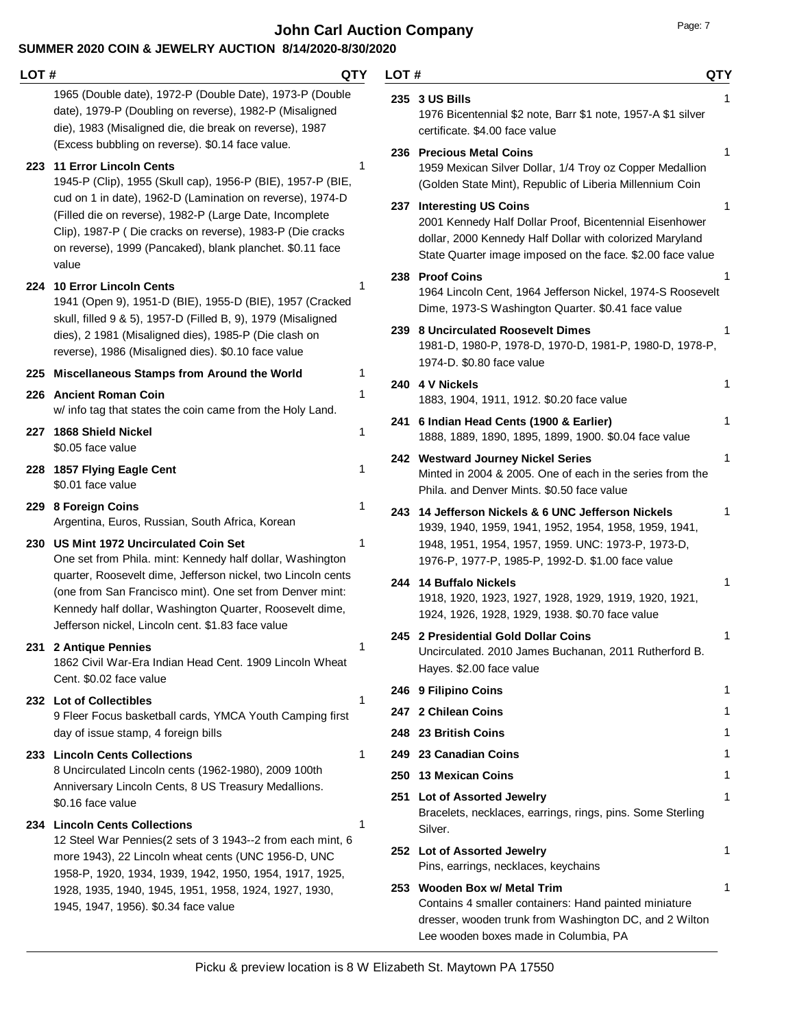**John Carl Auction Company Page: 7 Page: 7** 

| LOT # |                                                                                                                                                                                                                                                         | QTY<br>LOT# | <b>QTY</b>                                                                                                                                                                                                    |   |
|-------|---------------------------------------------------------------------------------------------------------------------------------------------------------------------------------------------------------------------------------------------------------|-------------|---------------------------------------------------------------------------------------------------------------------------------------------------------------------------------------------------------------|---|
|       | 1965 (Double date), 1972-P (Double Date), 1973-P (Double<br>date), 1979-P (Doubling on reverse), 1982-P (Misaligned<br>die), 1983 (Misaligned die, die break on reverse), 1987<br>(Excess bubbling on reverse). \$0.14 face value.                      |             | 235 3 US Bills<br>1976 Bicentennial \$2 note, Barr \$1 note, 1957-A \$1 silver<br>certificate. \$4.00 face value                                                                                              |   |
|       | 223 11 Error Lincoln Cents<br>1945-P (Clip), 1955 (Skull cap), 1956-P (BIE), 1957-P (BIE,                                                                                                                                                               | 1           | 236 Precious Metal Coins<br>1959 Mexican Silver Dollar, 1/4 Troy oz Copper Medallion<br>(Golden State Mint), Republic of Liberia Millennium Coin                                                              | 1 |
|       | cud on 1 in date), 1962-D (Lamination on reverse), 1974-D<br>(Filled die on reverse), 1982-P (Large Date, Incomplete<br>Clip), 1987-P (Die cracks on reverse), 1983-P (Die cracks<br>on reverse), 1999 (Pancaked), blank planchet. \$0.11 face<br>value |             | 237 Interesting US Coins<br>2001 Kennedy Half Dollar Proof, Bicentennial Eisenhower<br>dollar, 2000 Kennedy Half Dollar with colorized Maryland<br>State Quarter image imposed on the face. \$2.00 face value | 1 |
|       | 224 10 Error Lincoln Cents<br>1941 (Open 9), 1951-D (BIE), 1955-D (BIE), 1957 (Cracked<br>skull, filled 9 & 5), 1957-D (Filled B, 9), 1979 (Misaligned                                                                                                  | 1           | 238 Proof Coins<br>1964 Lincoln Cent, 1964 Jefferson Nickel, 1974-S Roosevelt<br>Dime, 1973-S Washington Quarter. \$0.41 face value                                                                           |   |
|       | dies), 2 1981 (Misaligned dies), 1985-P (Die clash on<br>reverse), 1986 (Misaligned dies). \$0.10 face value                                                                                                                                            |             | 239 8 Uncirculated Roosevelt Dimes<br>1981-D, 1980-P, 1978-D, 1970-D, 1981-P, 1980-D, 1978-P,<br>1974-D. \$0.80 face value                                                                                    |   |
|       | 225 Miscellaneous Stamps from Around the World                                                                                                                                                                                                          | 1           | 240 4 V Nickels                                                                                                                                                                                               | 1 |
|       | 226 Ancient Roman Coin<br>w/ info tag that states the coin came from the Holy Land.                                                                                                                                                                     | 1           | 1883, 1904, 1911, 1912. \$0.20 face value                                                                                                                                                                     |   |
|       | 227 1868 Shield Nickel<br>\$0.05 face value                                                                                                                                                                                                             |             | 241 6 Indian Head Cents (1900 & Earlier)<br>1888, 1889, 1890, 1895, 1899, 1900. \$0.04 face value                                                                                                             | 1 |
| 228   | 1857 Flying Eagle Cent<br>\$0.01 face value                                                                                                                                                                                                             | 1           | 242 Westward Journey Nickel Series<br>Minted in 2004 & 2005. One of each in the series from the<br>Phila. and Denver Mints. \$0.50 face value                                                                 | 1 |
|       | 229 8 Foreign Coins<br>Argentina, Euros, Russian, South Africa, Korean                                                                                                                                                                                  |             | 243 14 Jefferson Nickels & 6 UNC Jefferson Nickels<br>1939, 1940, 1959, 1941, 1952, 1954, 1958, 1959, 1941,                                                                                                   | 1 |
|       | 230 US Mint 1972 Uncirculated Coin Set<br>One set from Phila. mint: Kennedy half dollar, Washington                                                                                                                                                     |             | 1948, 1951, 1954, 1957, 1959. UNC: 1973-P, 1973-D,<br>1976-P, 1977-P, 1985-P, 1992-D. \$1.00 face value                                                                                                       |   |
|       | quarter, Roosevelt dime, Jefferson nickel, two Lincoln cents<br>(one from San Francisco mint). One set from Denver mint:<br>Kennedy half dollar, Washington Quarter, Roosevelt dime,<br>Jefferson nickel, Lincoln cent. \$1.83 face value               |             | 244 14 Buffalo Nickels<br>1918, 1920, 1923, 1927, 1928, 1929, 1919, 1920, 1921,<br>1924, 1926, 1928, 1929, 1938. \$0.70 face value                                                                            | 1 |
|       | 231 2 Antique Pennies<br>1862 Civil War-Era Indian Head Cent. 1909 Lincoln Wheat<br>Cent. \$0.02 face value                                                                                                                                             | 1           | 245 2 Presidential Gold Dollar Coins<br>Uncirculated. 2010 James Buchanan, 2011 Rutherford B.<br>Hayes. \$2.00 face value                                                                                     | 1 |
|       | 232 Lot of Collectibles                                                                                                                                                                                                                                 | 1           | 246 9 Filipino Coins                                                                                                                                                                                          | 1 |
|       | 9 Fleer Focus basketball cards, YMCA Youth Camping first                                                                                                                                                                                                |             | 247 2 Chilean Coins                                                                                                                                                                                           |   |
|       | day of issue stamp, 4 foreign bills                                                                                                                                                                                                                     |             | 248 23 British Coins                                                                                                                                                                                          |   |
|       | 233 Lincoln Cents Collections<br>8 Uncirculated Lincoln cents (1962-1980), 2009 100th                                                                                                                                                                   | 1           | 249 23 Canadian Coins                                                                                                                                                                                         |   |
|       | Anniversary Lincoln Cents, 8 US Treasury Medallions.                                                                                                                                                                                                    |             | 250 13 Mexican Coins                                                                                                                                                                                          | 1 |
|       | \$0.16 face value<br>234 Lincoln Cents Collections                                                                                                                                                                                                      | 1           | 251 Lot of Assorted Jewelry<br>Bracelets, necklaces, earrings, rings, pins. Some Sterling<br>Silver.                                                                                                          | 1 |
|       | 12 Steel War Pennies(2 sets of 3 1943--2 from each mint, 6<br>more 1943), 22 Lincoln wheat cents (UNC 1956-D, UNC                                                                                                                                       |             | 252 Lot of Assorted Jewelry<br>Pins, earrings, necklaces, keychains                                                                                                                                           | 1 |
|       | 1958-P, 1920, 1934, 1939, 1942, 1950, 1954, 1917, 1925,<br>1928, 1935, 1940, 1945, 1951, 1958, 1924, 1927, 1930,                                                                                                                                        |             | 253 Wooden Box w/ Metal Trim                                                                                                                                                                                  | 1 |
|       | 1945, 1947, 1956). \$0.34 face value                                                                                                                                                                                                                    |             | Contains 4 smaller containers: Hand painted miniature<br>dresser, wooden trunk from Washington DC, and 2 Wilton<br>Lee wooden boxes made in Columbia, PA                                                      |   |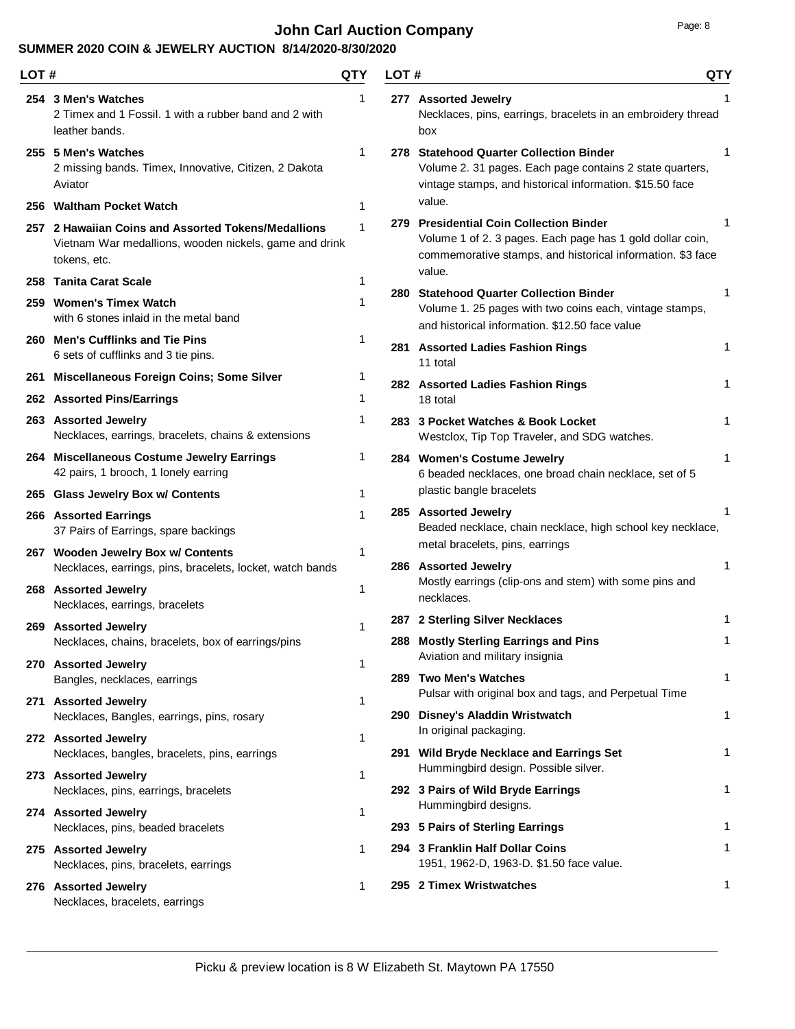# **John Carl Auction Company Page: 8 Page: 8**

| ане |  |  |
|-----|--|--|
|     |  |  |

| LOT# |                                                                                                                               | QTY | LOT# |                                                                                                                                                                              | QTY |
|------|-------------------------------------------------------------------------------------------------------------------------------|-----|------|------------------------------------------------------------------------------------------------------------------------------------------------------------------------------|-----|
|      | 254 3 Men's Watches<br>2 Timex and 1 Fossil. 1 with a rubber band and 2 with<br>leather bands.                                | 1   |      | 277 Assorted Jewelry<br>Necklaces, pins, earrings, bracelets in an embroidery thread<br>box                                                                                  | 1   |
|      | 255 5 Men's Watches<br>2 missing bands. Timex, Innovative, Citizen, 2 Dakota<br>Aviator                                       | 1   |      | 278 Statehood Quarter Collection Binder<br>Volume 2. 31 pages. Each page contains 2 state quarters,<br>vintage stamps, and historical information. \$15.50 face              | 1   |
|      | 256 Waltham Pocket Watch                                                                                                      | 1   |      | value.                                                                                                                                                                       |     |
|      | 257 2 Hawaiian Coins and Assorted Tokens/Medallions<br>Vietnam War medallions, wooden nickels, game and drink<br>tokens, etc. | 1   |      | 279 Presidential Coin Collection Binder<br>Volume 1 of 2. 3 pages. Each page has 1 gold dollar coin,<br>commemorative stamps, and historical information. \$3 face<br>value. | 1   |
|      | 258 Tanita Carat Scale                                                                                                        | 1   |      | 280 Statehood Quarter Collection Binder                                                                                                                                      | 1   |
|      | 259 Women's Timex Watch<br>with 6 stones inlaid in the metal band                                                             |     |      | Volume 1. 25 pages with two coins each, vintage stamps,<br>and historical information. \$12.50 face value                                                                    |     |
|      | 260 Men's Cufflinks and Tie Pins<br>6 sets of cufflinks and 3 tie pins.                                                       | 1   |      | 281 Assorted Ladies Fashion Rings<br>11 total                                                                                                                                | 1   |
|      | 261 Miscellaneous Foreign Coins; Some Silver                                                                                  | 1   |      | 282 Assorted Ladies Fashion Rings                                                                                                                                            | 1   |
|      | 262 Assorted Pins/Earrings                                                                                                    | 1   |      | 18 total                                                                                                                                                                     |     |
|      | 263 Assorted Jewelry<br>Necklaces, earrings, bracelets, chains & extensions                                                   | 1   |      | 283 3 Pocket Watches & Book Locket<br>Westclox, Tip Top Traveler, and SDG watches.                                                                                           | 1   |
|      | 264 Miscellaneous Costume Jewelry Earrings<br>42 pairs, 1 brooch, 1 lonely earring                                            | 1   |      | 284 Women's Costume Jewelry<br>6 beaded necklaces, one broad chain necklace, set of 5                                                                                        | 1   |
|      | 265 Glass Jewelry Box w/ Contents                                                                                             | 1   |      | plastic bangle bracelets                                                                                                                                                     |     |
|      | 266 Assorted Earrings<br>37 Pairs of Earrings, spare backings                                                                 | 1   |      | 285 Assorted Jewelry<br>Beaded necklace, chain necklace, high school key necklace,<br>metal bracelets, pins, earrings                                                        | 1   |
|      | 267 Wooden Jewelry Box w/ Contents                                                                                            | 1   |      | 286 Assorted Jewelry                                                                                                                                                         | 1   |
|      | Necklaces, earrings, pins, bracelets, locket, watch bands<br>268 Assorted Jewelry<br>Necklaces, earrings, bracelets           | 1   |      | Mostly earrings (clip-ons and stem) with some pins and<br>necklaces.                                                                                                         |     |
|      | 269 Assorted Jewelry                                                                                                          |     |      | 287 2 Sterling Silver Necklaces                                                                                                                                              | 1   |
|      | Necklaces, chains, bracelets, box of earrings/pins<br>270 Assorted Jewelry                                                    | 1   |      | 288 Mostly Sterling Earrings and Pins<br>Aviation and military insignia                                                                                                      | 1   |
|      | Bangles, necklaces, earrings                                                                                                  |     |      | 289 Two Men's Watches                                                                                                                                                        | 1   |
|      | 271 Assorted Jewelry                                                                                                          | 1   |      | Pulsar with original box and tags, and Perpetual Time                                                                                                                        |     |
|      | Necklaces, Bangles, earrings, pins, rosary                                                                                    |     |      | 290 Disney's Aladdin Wristwatch                                                                                                                                              | 1   |
|      | 272 Assorted Jewelry<br>Necklaces, bangles, bracelets, pins, earrings                                                         | 1   |      | In original packaging.<br>291 Wild Bryde Necklace and Earrings Set                                                                                                           | 1   |
|      | 273 Assorted Jewelry                                                                                                          | 1   |      | Hummingbird design. Possible silver.                                                                                                                                         |     |
|      | Necklaces, pins, earrings, bracelets                                                                                          |     |      | 292 3 Pairs of Wild Bryde Earrings<br>Hummingbird designs.                                                                                                                   | 1   |
|      | 274 Assorted Jewelry<br>Necklaces, pins, beaded bracelets                                                                     | 1   |      | 293 5 Pairs of Sterling Earrings                                                                                                                                             | 1   |
|      | 275 Assorted Jewelry                                                                                                          | 1.  |      | 294 3 Franklin Half Dollar Coins                                                                                                                                             | 1   |
|      | Necklaces, pins, bracelets, earrings                                                                                          |     |      | 1951, 1962-D, 1963-D. \$1.50 face value.                                                                                                                                     |     |
|      | 276 Assorted Jewelry<br>Necklaces, bracelets, earrings                                                                        | 1.  |      | 295 2 Timex Wristwatches                                                                                                                                                     | 1   |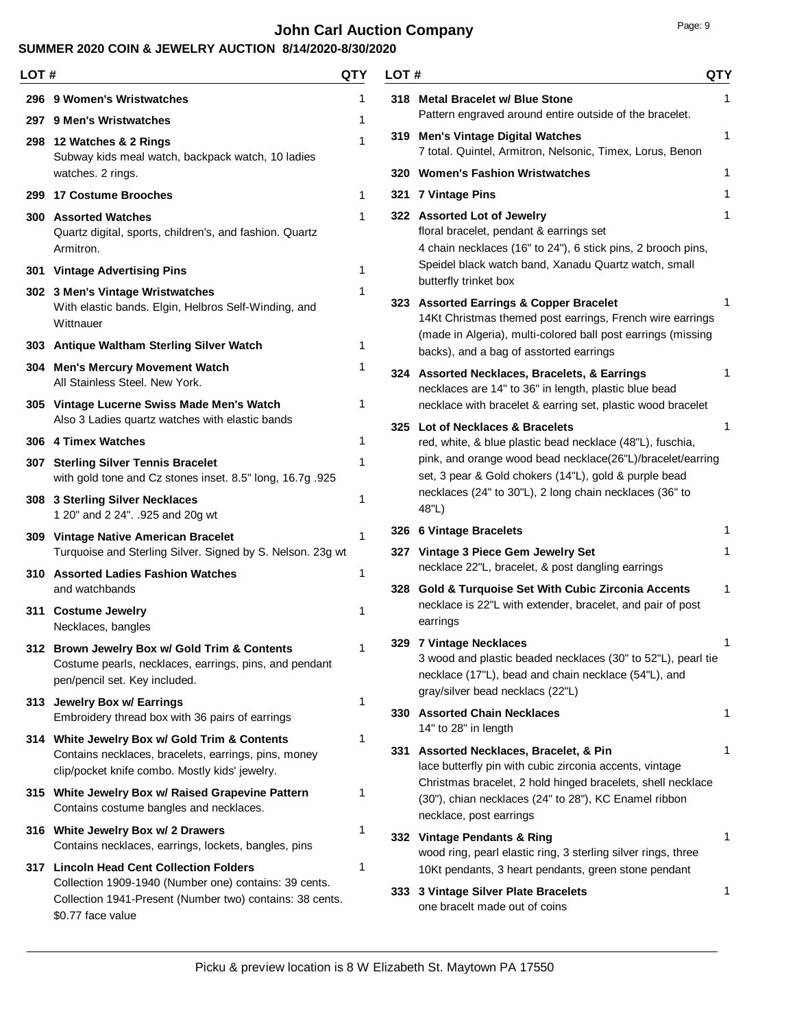# **John Carl Auction Company Page: 9** Page: 9

| LOT# |                                                                                                                                                         | QTY          | LOT# |                                                                                                                                                                                     | <b>QTY</b> |
|------|---------------------------------------------------------------------------------------------------------------------------------------------------------|--------------|------|-------------------------------------------------------------------------------------------------------------------------------------------------------------------------------------|------------|
|      | 296 9 Women's Wristwatches                                                                                                                              | 1            |      | 318 Metal Bracelet w/ Blue Stone                                                                                                                                                    | 1          |
|      | 297 9 Men's Wristwatches                                                                                                                                | 1            |      | Pattern engraved around entire outside of the bracelet.                                                                                                                             |            |
|      | 298 12 Watches & 2 Rings<br>Subway kids meal watch, backpack watch, 10 ladies                                                                           | $\mathbf{1}$ |      | 319 Men's Vintage Digital Watches<br>7 total. Quintel, Armitron, Nelsonic, Timex, Lorus, Benon                                                                                      | 1          |
|      | watches. 2 rings.                                                                                                                                       |              |      | 320 Women's Fashion Wristwatches                                                                                                                                                    | 1          |
|      | 299 17 Costume Brooches                                                                                                                                 | 1            |      | 321 7 Vintage Pins                                                                                                                                                                  | 1          |
|      | <b>300 Assorted Watches</b><br>Quartz digital, sports, children's, and fashion. Quartz<br>Armitron.                                                     | 1            |      | 322 Assorted Lot of Jewelry<br>floral bracelet, pendant & earrings set<br>4 chain necklaces (16" to 24"), 6 stick pins, 2 brooch pins,                                              | 1          |
|      | 301 Vintage Advertising Pins                                                                                                                            | 1            |      | Speidel black watch band, Xanadu Quartz watch, small<br>butterfly trinket box                                                                                                       |            |
|      | 302 3 Men's Vintage Wristwatches<br>With elastic bands. Elgin, Helbros Self-Winding, and<br>Wittnauer                                                   | 1            |      | 323 Assorted Earrings & Copper Bracelet<br>14Kt Christmas themed post earrings, French wire earrings<br>(made in Algeria), multi-colored ball post earrings (missing                |            |
|      | 303 Antique Waltham Sterling Silver Watch                                                                                                               | 1            |      | backs), and a bag of asstorted earrings                                                                                                                                             |            |
|      | 304 Men's Mercury Movement Watch<br>All Stainless Steel. New York.                                                                                      | 1            |      | 324 Assorted Necklaces, Bracelets, & Earrings<br>necklaces are 14" to 36" in length, plastic blue bead                                                                              | 1          |
|      | 305 Vintage Lucerne Swiss Made Men's Watch<br>Also 3 Ladies quartz watches with elastic bands                                                           | 1            |      | necklace with bracelet & earring set, plastic wood bracelet<br>325 Lot of Necklaces & Bracelets                                                                                     | 1          |
|      | 306 4 Timex Watches                                                                                                                                     | 1            |      | red, white, & blue plastic bead necklace (48"L), fuschia,                                                                                                                           |            |
|      | 307 Sterling Silver Tennis Bracelet<br>with gold tone and Cz stones inset. 8.5" long, 16.7g .925                                                        | 1            |      | pink, and orange wood bead necklace(26"L)/bracelet/earring<br>set, 3 pear & Gold chokers (14"L), gold & purple bead                                                                 |            |
|      | 308 3 Sterling Silver Necklaces<br>1 20" and 2 24". .925 and 20g wt                                                                                     | 1            |      | necklaces (24" to 30"L), 2 long chain necklaces (36" to<br>48"L)                                                                                                                    |            |
|      | 309 Vintage Native American Bracelet<br>Turquoise and Sterling Silver. Signed by S. Nelson. 23g wt                                                      | $\mathbf{1}$ |      | 326 6 Vintage Bracelets<br>327 Vintage 3 Piece Gem Jewelry Set                                                                                                                      | 1<br>1     |
|      | 310 Assorted Ladies Fashion Watches                                                                                                                     | 1            |      | necklace 22"L, bracelet, & post dangling earrings                                                                                                                                   |            |
|      | and watchbands                                                                                                                                          |              |      | 328 Gold & Turquoise Set With Cubic Zirconia Accents                                                                                                                                | 1          |
|      | 311 Costume Jewelry<br>Necklaces, bangles                                                                                                               | 1            |      | necklace is 22"L with extender, bracelet, and pair of post<br>earrings                                                                                                              |            |
|      | 312 Brown Jewelry Box w/ Gold Trim & Contents<br>Costume pearls, necklaces, earrings, pins, and pendant<br>pen/pencil set. Key included.                |              |      | 329 7 Vintage Necklaces<br>3 wood and plastic beaded necklaces (30" to 52"L), pearl tie<br>necklace (17"L), bead and chain necklace (54"L), and<br>gray/silver bead necklacs (22"L) |            |
|      | 313 Jewelry Box w/ Earrings<br>Embroidery thread box with 36 pairs of earrings                                                                          | 1            |      | 330 Assorted Chain Necklaces<br>14" to 28" in length                                                                                                                                | 1          |
|      | 314 White Jewelry Box w/ Gold Trim & Contents<br>Contains necklaces, bracelets, earrings, pins, money<br>clip/pocket knife combo. Mostly kids' jewelry. | 1            |      | 331 Assorted Necklaces, Bracelet, & Pin<br>lace butterfly pin with cubic zirconia accents, vintage                                                                                  | 1          |
|      | 315 White Jewelry Box w/ Raised Grapevine Pattern<br>Contains costume bangles and necklaces.                                                            | 1            |      | Christmas bracelet, 2 hold hinged bracelets, shell necklace<br>(30"), chian necklaces (24" to 28"), KC Enamel ribbon<br>necklace, post earrings                                     |            |
|      | 316 White Jewelry Box w/ 2 Drawers<br>Contains necklaces, earrings, lockets, bangles, pins                                                              | 1            |      | 332 Vintage Pendants & Ring<br>wood ring, pearl elastic ring, 3 sterling silver rings, three                                                                                        | 1          |
|      | 317 Lincoln Head Cent Collection Folders                                                                                                                | 1            |      | 10Kt pendants, 3 heart pendants, green stone pendant                                                                                                                                |            |
|      | Collection 1909-1940 (Number one) contains: 39 cents.<br>Collection 1941-Present (Number two) contains: 38 cents.<br>\$0.77 face value                  |              |      | 333 3 Vintage Silver Plate Bracelets<br>one bracelt made out of coins                                                                                                               | 1          |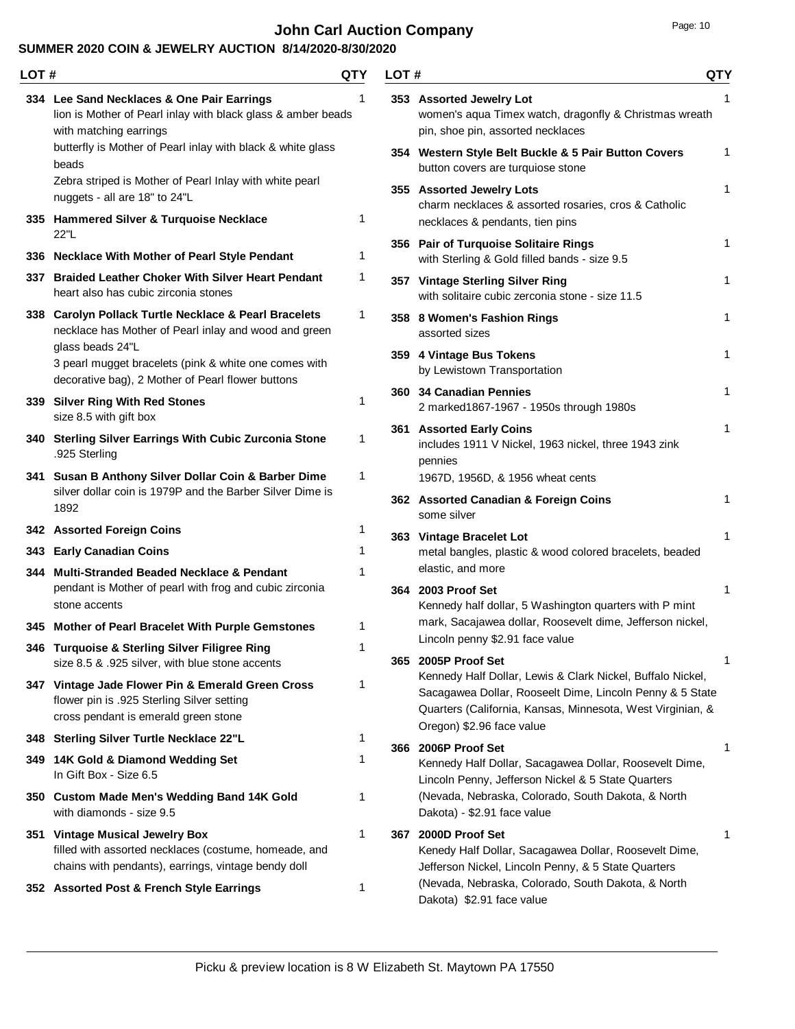# **John Carl Auction Company Page: 10** Page: 10

| LOT# |                                                                                                                                                 | QTY | LOT# |                                                                                                                                                                                                                   | <b>QTY</b>   |
|------|-------------------------------------------------------------------------------------------------------------------------------------------------|-----|------|-------------------------------------------------------------------------------------------------------------------------------------------------------------------------------------------------------------------|--------------|
|      | 334 Lee Sand Necklaces & One Pair Earrings<br>lion is Mother of Pearl inlay with black glass & amber beads<br>with matching earrings            |     |      | 353 Assorted Jewelry Lot<br>women's aqua Timex watch, dragonfly & Christmas wreath<br>pin, shoe pin, assorted necklaces                                                                                           | 1            |
|      | butterfly is Mother of Pearl inlay with black & white glass<br>beads                                                                            |     |      | 354 Western Style Belt Buckle & 5 Pair Button Covers<br>button covers are turquiose stone                                                                                                                         | 1            |
|      | Zebra striped is Mother of Pearl Inlay with white pearl<br>nuggets - all are 18" to 24"L<br>335 Hammered Silver & Turquoise Necklace            | 1   |      | 355 Assorted Jewelry Lots<br>charm necklaces & assorted rosaries, cros & Catholic                                                                                                                                 | $\mathbf{1}$ |
|      | 22"L                                                                                                                                            |     |      | necklaces & pendants, tien pins                                                                                                                                                                                   | 1            |
|      | 336 Necklace With Mother of Pearl Style Pendant                                                                                                 | 1   |      | 356 Pair of Turquoise Solitaire Rings<br>with Sterling & Gold filled bands - size 9.5                                                                                                                             |              |
|      | 337 Braided Leather Choker With Silver Heart Pendant<br>heart also has cubic zirconia stones                                                    | 1   |      | 357 Vintage Sterling Silver Ring<br>with solitaire cubic zerconia stone - size 11.5                                                                                                                               | 1            |
|      | 338 Carolyn Pollack Turtle Necklace & Pearl Bracelets<br>necklace has Mother of Pearl inlay and wood and green                                  | 1   |      | 358 8 Women's Fashion Rings<br>assorted sizes                                                                                                                                                                     | 1            |
|      | glass beads 24"L<br>3 pearl mugget bracelets (pink & white one comes with<br>decorative bag), 2 Mother of Pearl flower buttons                  |     |      | 359 4 Vintage Bus Tokens<br>by Lewistown Transportation                                                                                                                                                           | $\mathbf{1}$ |
|      | 339 Silver Ring With Red Stones<br>size 8.5 with gift box                                                                                       | 1   |      | 360 34 Canadian Pennies<br>2 marked1867-1967 - 1950s through 1980s                                                                                                                                                | $\mathbf{1}$ |
|      | 340 Sterling Silver Earrings With Cubic Zurconia Stone<br>.925 Sterling                                                                         | 1   |      | 361 Assorted Early Coins<br>includes 1911 V Nickel, 1963 nickel, three 1943 zink<br>pennies                                                                                                                       | 1            |
|      | 341 Susan B Anthony Silver Dollar Coin & Barber Dime                                                                                            | 1   |      | 1967D, 1956D, & 1956 wheat cents                                                                                                                                                                                  |              |
|      | silver dollar coin is 1979P and the Barber Silver Dime is<br>1892                                                                               |     |      | 362 Assorted Canadian & Foreign Coins<br>some silver                                                                                                                                                              | 1            |
|      | 342 Assorted Foreign Coins                                                                                                                      | 1   |      | 363 Vintage Bracelet Lot                                                                                                                                                                                          | 1            |
|      | 343 Early Canadian Coins                                                                                                                        | 1   |      | metal bangles, plastic & wood colored bracelets, beaded<br>elastic, and more                                                                                                                                      |              |
|      | 344 Multi-Stranded Beaded Necklace & Pendant<br>pendant is Mother of pearl with frog and cubic zirconia<br>stone accents                        | 1   |      | 364 2003 Proof Set<br>Kennedy half dollar, 5 Washington quarters with P mint                                                                                                                                      | 1            |
|      | 345 Mother of Pearl Bracelet With Purple Gemstones                                                                                              | 1   |      | mark, Sacajawea dollar, Roosevelt dime, Jefferson nickel,                                                                                                                                                         |              |
|      | 346 Turquoise & Sterling Silver Filigree Ring<br>size 8.5 & .925 silver, with blue stone accents                                                |     |      | Lincoln penny \$2.91 face value<br>365 2005P Proof Set                                                                                                                                                            | 1            |
|      | 347 Vintage Jade Flower Pin & Emerald Green Cross<br>flower pin is .925 Sterling Silver setting<br>cross pendant is emerald green stone         | 1   |      | Kennedy Half Dollar, Lewis & Clark Nickel, Buffalo Nickel,<br>Sacagawea Dollar, Rooseelt Dime, Lincoln Penny & 5 State<br>Quarters (California, Kansas, Minnesota, West Virginian, &<br>Oregon) \$2.96 face value |              |
|      | 348 Sterling Silver Turtle Necklace 22"L                                                                                                        | 1   |      | 366 2006P Proof Set                                                                                                                                                                                               | 1            |
|      | 349 14K Gold & Diamond Wedding Set<br>In Gift Box - Size 6.5                                                                                    | 1   |      | Kennedy Half Dollar, Sacagawea Dollar, Roosevelt Dime,<br>Lincoln Penny, Jefferson Nickel & 5 State Quarters                                                                                                      |              |
|      | 350 Custom Made Men's Wedding Band 14K Gold<br>with diamonds - size 9.5                                                                         | 1   |      | (Nevada, Nebraska, Colorado, South Dakota, & North<br>Dakota) - \$2.91 face value                                                                                                                                 |              |
|      | 351 Vintage Musical Jewelry Box<br>filled with assorted necklaces (costume, homeade, and<br>chains with pendants), earrings, vintage bendy doll | 1   |      | 367 2000D Proof Set<br>Kenedy Half Dollar, Sacagawea Dollar, Roosevelt Dime,<br>Jefferson Nickel, Lincoln Penny, & 5 State Quarters                                                                               | 1            |
|      | 352 Assorted Post & French Style Earrings                                                                                                       | 1   |      | (Nevada, Nebraska, Colorado, South Dakota, & North<br>Dakota) \$2.91 face value                                                                                                                                   |              |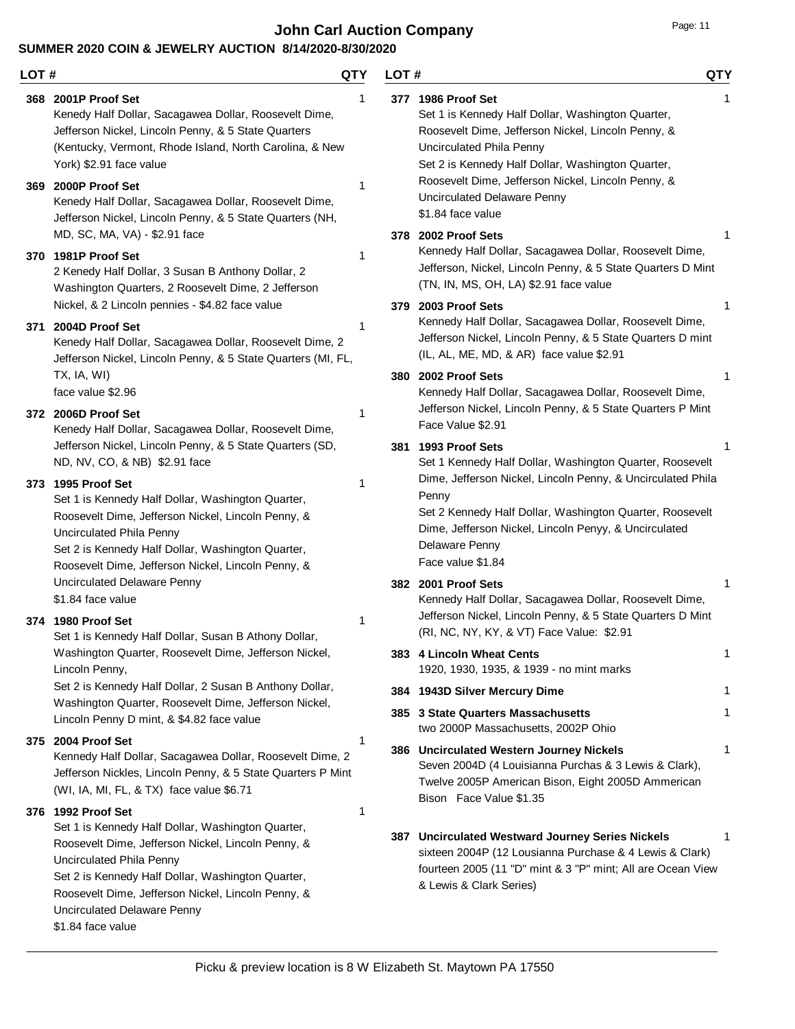**John Carl Auction Company** Department of the Page: 11

### **SUMMER 2020 COIN & JEWELRY AUCTION 8/14/2020-8/30/2020**

Uncirculated Delaware Penny

\$1.84 face value

#### **LOT # QTY** Kenedy Half Dollar, Sacagawea Dollar, Roosevelt Dime, Jefferson Nickel, Lincoln Penny, & 5 State Quarters (Kentucky, Vermont, Rhode Island, North Carolina, & New York) \$2.91 face value **368 2001P Proof Set** 1 Kenedy Half Dollar, Sacagawea Dollar, Roosevelt Dime, Jefferson Nickel, Lincoln Penny, & 5 State Quarters (NH, MD, SC, MA, VA) - \$2.91 face **369 2000P Proof Set** 1 2 Kenedy Half Dollar, 3 Susan B Anthony Dollar, 2 Washington Quarters, 2 Roosevelt Dime, 2 Jefferson Nickel, & 2 Lincoln pennies - \$4.82 face value **370 1981P Proof Set** 1 Kenedy Half Dollar, Sacagawea Dollar, Roosevelt Dime, 2 Jefferson Nickel, Lincoln Penny, & 5 State Quarters (MI, FL, TX, IA, WI) face value \$2.96 **371 2004D Proof Set** 1 Kenedy Half Dollar, Sacagawea Dollar, Roosevelt Dime, Jefferson Nickel, Lincoln Penny, & 5 State Quarters (SD, ND, NV, CO, & NB) \$2.91 face **372 2006D Proof Set** 1 Set 1 is Kennedy Half Dollar, Washington Quarter, Roosevelt Dime, Jefferson Nickel, Lincoln Penny, & Uncirculated Phila Penny Set 2 is Kennedy Half Dollar, Washington Quarter, Roosevelt Dime, Jefferson Nickel, Lincoln Penny, & Uncirculated Delaware Penny \$1.84 face value **373 1995 Proof Set** 1 Set 1 is Kennedy Half Dollar, Susan B Athony Dollar, Washington Quarter, Roosevelt Dime, Jefferson Nickel, Lincoln Penny, Set 2 is Kennedy Half Dollar, 2 Susan B Anthony Dollar, Washington Quarter, Roosevelt Dime, Jefferson Nickel, Lincoln Penny D mint, & \$4.82 face value **374 1980 Proof Set** 1 Kennedy Half Dollar, Sacagawea Dollar, Roosevelt Dime, 2 Jefferson Nickles, Lincoln Penny, & 5 State Quarters P Mint (WI, IA, MI, FL, & TX) face value \$6.71 **375 2004 Proof Set** 1 Set 1 is Kennedy Half Dollar, Washington Quarter, Roosevelt Dime, Jefferson Nickel, Lincoln Penny, & Uncirculated Phila Penny Set 2 is Kennedy Half Dollar, Washington Quarter, Roosevelt Dime, Jefferson Nickel, Lincoln Penny, & **376 1992 Proof Set** 1 **LOT # QTY** Set 1 is Kennedy Half Dollar, Washington Quarter, Roosevelt Dime, Jefferson Nickel, Lincoln Penny, & Uncirculated Phila Penny Set 2 is Kennedy Half Dollar, Washington Quarter, Roosevelt Dime, Jefferson Nickel, Lincoln Penny, & Uncirculated Delaware Penny \$1.84 face value **377 1986 Proof Set** 1 Kennedy Half Dollar, Sacagawea Dollar, Roosevelt Dime, Jefferson, Nickel, Lincoln Penny, & 5 State Quarters D Mint (TN, IN, MS, OH, LA) \$2.91 face value **378 2002 Proof Sets** 1 Kennedy Half Dollar, Sacagawea Dollar, Roosevelt Dime, Jefferson Nickel, Lincoln Penny, & 5 State Quarters D mint (IL, AL, ME, MD, & AR) face value \$2.91 **379 2003 Proof Sets** 1 Kennedy Half Dollar, Sacagawea Dollar, Roosevelt Dime, Jefferson Nickel, Lincoln Penny, & 5 State Quarters P Mint Face Value \$2.91 **380 2002 Proof Sets** 1 Set 1 Kennedy Half Dollar, Washington Quarter, Roosevelt Dime, Jefferson Nickel, Lincoln Penny, & Uncirculated Phila Penny Set 2 Kennedy Half Dollar, Washington Quarter, Roosevelt Dime, Jefferson Nickel, Lincoln Penyy, & Uncirculated Delaware Penny Face value \$1.84 **381 1993 Proof Sets** 1 Kennedy Half Dollar, Sacagawea Dollar, Roosevelt Dime, Jefferson Nickel, Lincoln Penny, & 5 State Quarters D Mint (RI, NC, NY, KY, & VT) Face Value: \$2.91 **382 2001 Proof Sets** 1 1920, 1930, 1935, & 1939 - no mint marks **383 4 Lincoln Wheat Cents** 1 **384 1943D Silver Mercury Dime** 1 two 2000P Massachusetts, 2002P Ohio **385 3 State Quarters Massachusetts** 1 Seven 2004D (4 Louisianna Purchas & 3 Lewis & Clark), Twelve 2005P American Bison, Eight 2005D Ammerican Bison Face Value \$1.35 **386 Uncirculated Western Journey Nickels** 1 sixteen 2004P (12 Lousianna Purchase & 4 Lewis & Clark) fourteen 2005 (11 "D" mint & 3 "P" mint; All are Ocean View & Lewis & Clark Series) **387 Uncirculated Westward Journey Series Nickels** 1